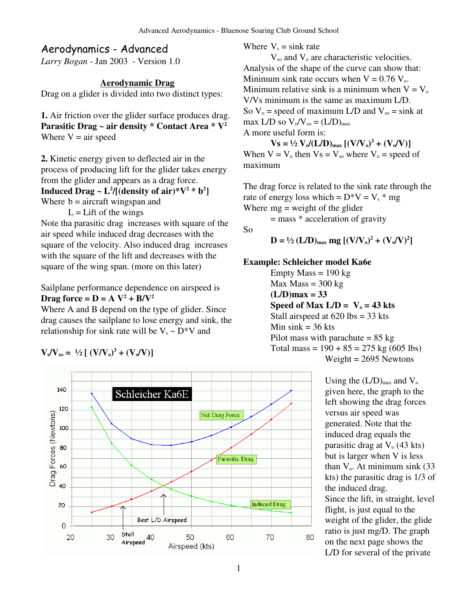So

# Aerodynamics - Advanced

*Larry Bogan* - Jan 2003 - Version 1.0

### **Aerodynamic Drag**

Drag on a glider is divided into two distinct types:

**1.** Air friction over the glider surface produces drag. **Parasitic Drag ~ air density \* Contact Area \* V 2** Where  $V = air$  speed

**2.** Kinetic energy given to deflected air in the process of producing lift for the glider takes energy from the glider and appears as a drag force. **Induced**  $\text{Drag} \sim L^2/[(\text{density of air})^*V^2 * b^2]$ Where  $b =$  aircraft wingspan and

 $L =$ Lift of the wings

Note tha parasitic drag increases with square of the air speed while induced drag decreases with the square of the velocity. Also induced drag increases with the square of the lift and decreases with the square of the wing span. (more on this later)

Sailplane performance dependence on airspeed is **Drag**  $force = D = A V^2 + B/V^2$ 

Where A and B depend on the type of glider. Since drag causes the sailplane to lose energy and sink, the relationship for sink rate will be  $V_s \sim D^*V$  and

$$
V_s/V_{so} = \frac{1}{2} [(V/V_0)^3 + (V_0/V)]
$$



Where  $V_s = \sin k$  rate

 $V_{so}$  and  $V_{o}$  are characteristic velocities. Analysis of the shape of the curve can show that: Minimum sink rate occurs when  $V = 0.76 V_0$ . Minimum relative sink is a minimum when  $V = V_0$ V/Vs minimum is the same as maximum L/D. So  $V_0$  = speed of maximum L/D and  $V_{so}$  = sink at max L/D so  $V_o/V_{so} = (L/D)_{max}$ A more useful form is:

 $V_s = \frac{1}{2} \mathbf{V} \mathbf{V} \mathbf{V} \mathbf{U} (\mathbf{L} \mathbf{D})_{\text{max}} [(\mathbf{V} \mathbf{V} \mathbf{V})^3 + (\mathbf{V} \mathbf{V} \mathbf{V})^3]$ When  $V = V_0$  then  $Vs = V_{so}$  where  $V_0$  = speed of maximum

The drag force is related to the sink rate through the rate of energy loss which =  $D*V = V_s * mg$ Where  $mg = weight of the glider$ 

= mass \* acceleration of gravity

$$
D = \frac{1}{2} (L/D)_{\text{max}} mg [(V/V_0)^2 + (V_0/V)^2]
$$

#### **Example: Schleicher model Ka6e**

 $Empty Mass = 190 kg$  $Max Mass = 300 kg$  $(L/D)$ max = 33 Speed of Max  $L/D = V_0 = 43$  kts Stall airspeed at 620 lbs = 33 kts Min sink  $=$  36 kts Pilot mass with parachute  $= 85 \text{ kg}$ Total mass =  $190 + 85 = 275$  kg (605 lbs) Weight  $= 2695$  Newtons

> Using the  $(L/D)_{max}$  and  $V_o$ given here, the graph to the left showing the drag forces versus air speed was generated. Note that the induced drag equals the parasitic drag at  $V<sub>o</sub>$  (43 kts) but is larger when V is less than  $V_0$ . At minimum sink (33) kts) the parasitic drag is 1/3 of the induced drag. Since the lift, in straight, level flight, is just equal to the weight of the glider, the glide ratio is just mg/D. The graph on the next page shows the L/D for several of the private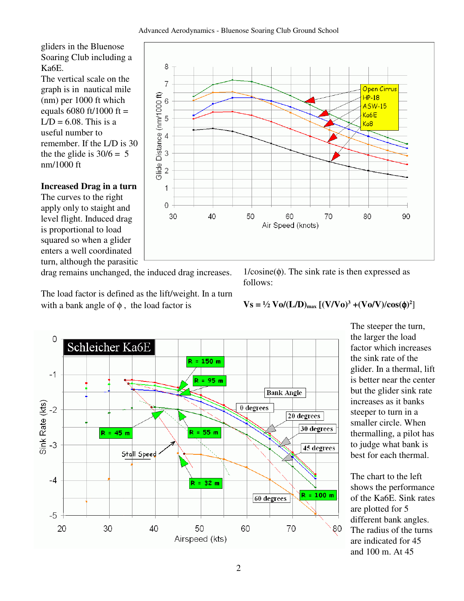gliders in the Bluenose Soaring Club including a Ka6E.

The vertical scale on the graph is in nautical mile (nm) per 1000 ft which equals 6080 ft/1000 ft =  $L/D = 6.08$ . This is a useful number to remember. If the L/D is 30 the the glide is  $30/6 = 5$ nm/1000 ft

### **Increased Drag in a turn**

The curves to the right apply only to staight and level flight. Induced drag is proportional to load squared so when a glider enters a well coordinated turn, although the parasitic

drag remains unchanged, the induced drag increases.

The load factor is defined as the lift/weight. In a turn with a bank angle of  $\phi$ , the load factor is





 $1/cosine(\phi)$ . The sink rate is then expressed as follows:

**Vs** = <sup>1</sup>/<sub>2</sub> **Vo/(L/D)**<sub>max</sub>  $[(V/Vo)<sup>3</sup> + (Vo/V)/cos(φ)<sup>2</sup>]$ 

The steeper the turn, the larger the load factor which increases the sink rate of the glider. In a thermal, lift is better near the center but the glider sink rate increases as it banks steeper to turn in a smaller circle. When thermalling, a pilot has to judge what bank is best for each thermal.

The chart to the left shows the performance of the Ka6E. Sink rates are plotted for 5 different bank angles. The radius of the turns are indicated for 45 and 100 m. At 45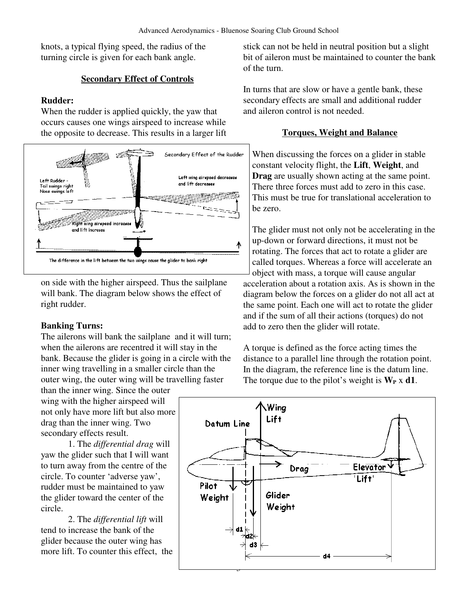knots, a typical flying speed, the radius of the turning circle is given for each bank angle.

### **Secondary Effect of Controls**

### **Rudder:**

When the rudder is applied quickly, the yaw that occurs causes one wings airspeed to increase while the opposite to decrease. This results in a larger lift



on side with the higher airspeed. Thus the sailplane will bank. The diagram below shows the effect of right rudder.

### **Banking Turns:**

The ailerons will bank the sailplane and it will turn; when the ailerons are recentred it will stay in the bank. Because the glider is going in a circle with the inner wing travelling in a smaller circle than the outer wing, the outer wing will be travelling faster

than the inner wing. Since the outer wing with the higher airspeed will not only have more lift but also more drag than the inner wing. Two secondary effects result.

1. The *differential drag* will yaw the glider such that I will want to turn away from the centre of the circle. To counter 'adverse yaw', rudder must be maintained to yaw the glider toward the center of the circle.

2. The *differential lift* will tend to increase the bank of the glider because the outer wing has more lift. To counter this effect, the stick can not be held in neutral position but a slight bit of aileron must be maintained to counter the bank of the turn.

In turns that are slow or have a gentle bank, these secondary effects are small and additional rudder and aileron control is not needed.

### **Torques, Weight and Balance**

When discussing the forces on a glider in stable constant velocity flight, the **Lift**, **Weight**, and **Drag** are usually shown acting at the same point. There three forces must add to zero in this case. This must be true for translational acceleration to be zero.

The glider must not only not be accelerating in the up-down or forward directions, it must not be rotating. The forces that act to rotate a glider are called torques. Whereas a force will accelerate an object with mass, a torque will cause angular acceleration about a rotation axis. As is shown in the diagram below the forces on a glider do not all act at the same point. Each one will act to rotate the glider and if the sum of all their actions (torques) do not add to zero then the glider will rotate.

A torque is defined as the force acting times the distance to a parallel line through the rotation point. In the diagram, the reference line is the datum line. The torque due to the pilot's weight is  $W_P \times d1$ .

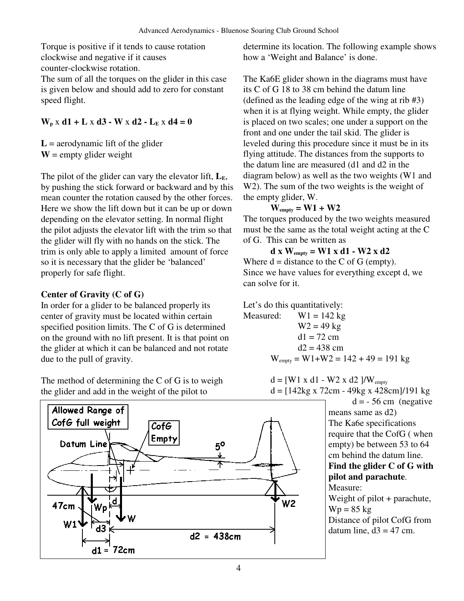Torque is positive if it tends to cause rotation clockwise and negative if it causes counter-clockwise rotation.

The sum of all the torques on the glider in this case is given below and should add to zero for constant speed flight.

### $W_p$  x **d1** + **L** x **d3** - **W** x **d2** - **L**<sub>**E**</sub> x **d4** = **0**

 $L =$  aerodynamic lift of the glider  $W =$  empty glider weight

The pilot of the glider can vary the elevator lift,  $L_{E}$ , by pushing the stick forward or backward and by this mean counter the rotation caused by the other forces. Here we show the lift down but it can be up or down depending on the elevator setting. In normal flight the pilot adjusts the elevator lift with the trim so that the glider will fly with no hands on the stick. The trim is only able to apply a limited amount of force so it is necessary that the glider be 'balanced' properly for safe flight.

### **Center of Gravity (C of G)**

In order for a glider to be balanced properly its center of gravity must be located within certain specified position limits. The C of G is determined on the ground with no lift present. It is that point on the glider at which it can be balanced and not rotate due to the pull of gravity.

The method of determining the C of G is to weigh the glider and add in the weight of the pilot to



determine its location. The following example shows how a 'Weight and Balance' is done.

The Ka6E glider shown in the diagrams must have its C of G 18 to 38 cm behind the datum line (defined as the leading edge of the wing at rib #3) when it is at flying weight. While empty, the glider is placed on two scales; one under a support on the front and one under the tail skid. The glider is leveled during this procedure since it must be in its flying attitude. The distances from the supports to the datum line are measured (d1 and d2 in the diagram below) as well as the two weights (W1 and W<sub>2</sub>). The sum of the two weights is the weight of the empty glider, W.

### **Wempty = W1 + W2**

The torques produced by the two weights measured must be the same as the total weight acting at the C of G. This can be written as

**d x**  $W_{\text{empty}} = W1 \times d1 - W2 \times d2$ 

Where  $d = distance to the C of G (empty).$ Since we have values for everything except d, we can solve for it.

Let's do this quantitatively: Measured:  $W1 = 142$  kg  $W2 = 49$  kg  $d1 = 72 \text{ cm}$ 

$$
d1 = 72 \text{ cm}
$$
  

$$
d2 = 438 \text{ cm}
$$
  

$$
W_{\text{empty}} = W1 + W2 = 142 + 49 = 191 \text{ kg}
$$

$$
d = [W1 x d1 - W2 x d2]/W_{empty}
$$
  

$$
d = [142 \text{kg} x 72 \text{cm} - 49 \text{kg} x 428 \text{cm}]/191 \text{kg}
$$

 $d = -56$  cm (negative means same as d2) The Ka6e specifications require that the CofG ( when empty) be between 53 to 64 cm behind the datum line. **Find the glider C of G with pilot and parachute**. Measure: Weight of pilot + parachute,  $Wp = 85$  kg

Distance of pilot CofG from datum line,  $d3 = 47$  cm.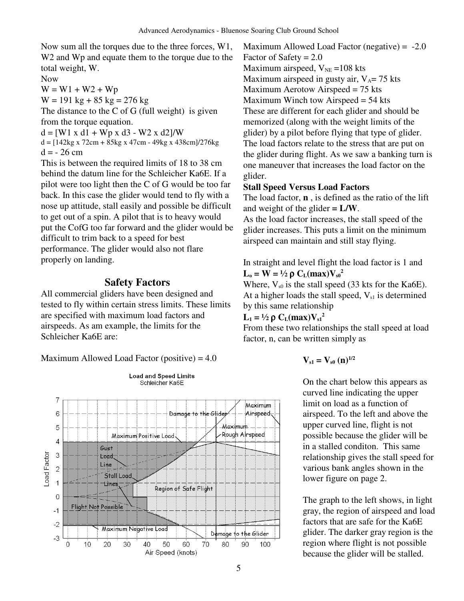Now sum all the torques due to the three forces, W1, W<sub>2</sub> and W<sub>p</sub> and equate them to the torque due to the total weight, W.

Now

 $W = W1 + W2 + Wp$  $W = 191 \text{ kg} + 85 \text{ kg} = 276 \text{ kg}$ 

The distance to the C of G (full weight) is given from the torque equation.

 $d = [W1 \times d1 + Wp \times d3 - W2 \times d2]/W$ 

 $d = [142kg \times 72cm + 85kg \times 47cm - 49kg \times 438cm]/276kg$  $d = -26$  cm

This is between the required limits of 18 to 38 cm behind the datum line for the Schleicher Ka6E. If a pilot were too light then the C of G would be too far back. In this case the glider would tend to fly with a nose up attitude, stall easily and possible be difficult to get out of a spin. A pilot that is to heavy would put the CofG too far forward and the glider would be difficult to trim back to a speed for best performance. The glider would also not flare properly on landing.

### **Safety Factors**

All commercial gliders have been designed and tested to fly within certain stress limits. These limits are specified with maximum load factors and airspeeds. As am example, the limits for the Schleicher Ka6E are:

Maximum Allowed Load Factor (positive) =  $4.0$ 



Maximum Allowed Load Factor (negative)  $= -2.0$ Factor of Safety  $= 2.0$ Maximum airspeed,  $V_{NE} = 108$  kts Maximum airspeed in gusty air,  $V_A$ = 75 kts Maximum Aerotow Airspeed = 75 kts Maximum Winch tow Airspeed = 54 kts These are different for each glider and should be memorized (along with the weight limits of the glider) by a pilot before flying that type of glider. The load factors relate to the stress that are put on the glider during flight. As we saw a banking turn is one maneuver that increases the load factor on the glider.

#### **Stall Speed Versus Load Factors**

The load factor, **n** , is defined as the ratio of the lift and weight of the glider  $= L/W$ .

As the load factor increases, the stall speed of the glider increases. This puts a limit on the minimum airspeed can maintain and still stay flying.

In straight and level flight the load factor is 1 and **L**<sub>0</sub> = **W** = <sup>1</sup>/<sub>2</sub>  $\rho$  **C**<sub>L</sub>(max)**V**<sub>s0</sub><sup>2</sup>

Where,  $V_{s0}$  is the stall speed (33 kts for the Ka6E). At a higher loads the stall speed,  $V_{s1}$  is determined by this same relationship

### **L**<sub>1</sub> = <sup>1</sup>/<sub>2</sub>  $\rho$  **C**<sub>L</sub>(max)V<sub>s1</sub><sup>2</sup>

From these two relationships the stall speed at load factor, n, can be written simply as

$$
V_{s1} = V_{s0} \ (n)^{1/2}
$$

On the chart below this appears as curved line indicating the upper limit on load as a function of airspeed. To the left and above the upper curved line, flight is not possible because the glider will be in a stalled conditon. This same relationship gives the stall speed for various bank angles shown in the lower figure on page 2.

The graph to the left shows, in light gray, the region of airspeed and load factors that are safe for the Ka6E glider. The darker gray region is the region where flight is not possible because the glider will be stalled.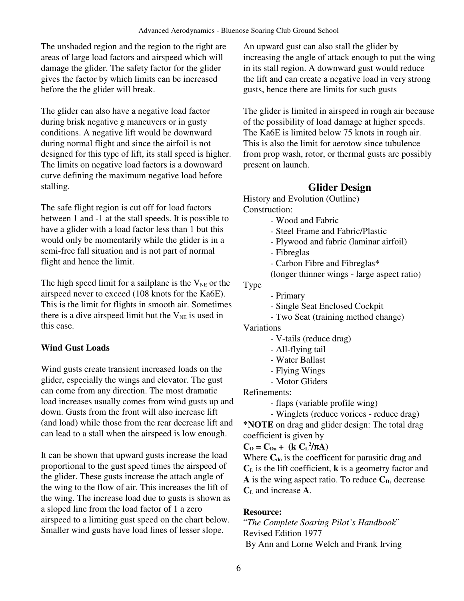The unshaded region and the region to the right are areas of large load factors and airspeed which will damage the glider. The safety factor for the glider gives the factor by which limits can be increased before the the glider will break.

The glider can also have a negative load factor during brisk negative g maneuvers or in gusty conditions. A negative lift would be downward during normal flight and since the airfoil is not designed for this type of lift, its stall speed is higher. The limits on negative load factors is a downward curve defining the maximum negative load before stalling.

The safe flight region is cut off for load factors between 1 and -1 at the stall speeds. It is possible to have a glider with a load factor less than 1 but this would only be momentarily while the glider is in a semi-free fall situation and is not part of normal flight and hence the limit.

The high speed limit for a sailplane is the  $V_{NE}$  or the airspeed never to exceed (108 knots for the Ka6E). This is the limit for flights in smooth air. Sometimes there is a dive airspeed limit but the  $V_{NE}$  is used in this case.

### **Wind Gust Loads**

Wind gusts create transient increased loads on the glider, especially the wings and elevator. The gust can come from any direction. The most dramatic load increases usually comes from wind gusts up and down. Gusts from the front will also increase lift (and load) while those from the rear decrease lift and can lead to a stall when the airspeed is low enough.

It can be shown that upward gusts increase the load proportional to the gust speed times the airspeed of the glider. These gusts increase the attach angle of the wing to the flow of air. This increases the lift of the wing. The increase load due to gusts is shown as a sloped line from the load factor of 1 a zero airspeed to a limiting gust speed on the chart below. Smaller wind gusts have load lines of lesser slope.

An upward gust can also stall the glider by increasing the angle of attack enough to put the wing in its stall region. A downward gust would reduce the lift and can create a negative load in very strong gusts, hence there are limits for such gusts

The glider is limited in airspeed in rough air because of the possibility of load damage at higher speeds. The Ka6E is limited below 75 knots in rough air. This is also the limit for aerotow since tubulence from prop wash, rotor, or thermal gusts are possibly present on launch.

# **Glider Design**

History and Evolution (Outline) Construction:

- Wood and Fabric
- Steel Frame and Fabric/Plastic
- Plywood and fabric (laminar airfoil)
- Fibreglas
- Carbon Fibre and Fibreglas\*
- (longer thinner wings large aspect ratio)

Type

- Primary
	- Single Seat Enclosed Cockpit
- Two Seat (training method change)

Variations

- V-tails (reduce drag)
- All-flying tail
- Water Ballast
- Flying Wings
- Motor Gliders

Refinements:

- flaps (variable profile wing)

- Winglets (reduce vorices - reduce drag) **\*NOTE** on drag and glider design: The total drag coefficient is given by

 $C_{D} = C_{D0} + (k C_{L}^{2}/\pi A)$ 

Where **Cdo** is the coefficent for parasitic drag and **C<sup>L</sup>** is the lift coefficient, **k** is a geometry factor and  $\bf{A}$  is the wing aspect ratio. To reduce  $\bf{C}_D$ , decrease **C<sup>L</sup>** and increase **A**.

## **Resource:**

"*The Complete Soaring Pilot's Handbook*" Revised Edition 1977 By Ann and Lorne Welch and Frank Irving